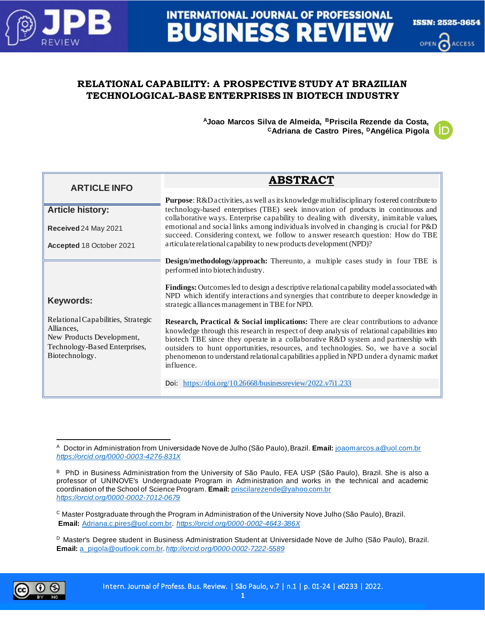

# **INTERNATIONAL JOURNAL OF PROFESSIONAL BUSINESS REVIEW**



# **RELATIONAL CAPABILITY: A PROSPECTIVE STUDY AT BRAZILIAN TECHNOLOGICAL-BASE ENTERPRISES IN BIOTECH INDUSTRY**

**<sup>A</sup>Joao Marcos Silva de Almeida, <sup>B</sup>Priscila Rezende da Costa, <sup>C</sup>Adriana de Castro Pires, <sup>D</sup>Angélica Pigola**

| <b>ARTICLE INFO</b>                                                                                                              | <b>ABSTRACT</b>                                                                                                                                                                                                                                                                                                                                                                                                                                                       |
|----------------------------------------------------------------------------------------------------------------------------------|-----------------------------------------------------------------------------------------------------------------------------------------------------------------------------------------------------------------------------------------------------------------------------------------------------------------------------------------------------------------------------------------------------------------------------------------------------------------------|
|                                                                                                                                  | <b>Purpose:</b> R&D activities, as well as its knowledge multidisciplinary fostered contribute to                                                                                                                                                                                                                                                                                                                                                                     |
| <b>Article history:</b>                                                                                                          | technology-based enterprises (TBE) seek innovation of products in continuous and<br>collaborative ways. Enterprise capability to dealing with diversity, inimitable values,                                                                                                                                                                                                                                                                                           |
| Received 24 May 2021                                                                                                             | emotional and social links among individuals involved in changing is crucial for P&D<br>succeed. Considering context, we follow to answer research question: How do TBE                                                                                                                                                                                                                                                                                               |
| Accepted 18 October 2021                                                                                                         | articulate relational capability to new products development (NPD)?                                                                                                                                                                                                                                                                                                                                                                                                   |
|                                                                                                                                  | <b>Design/methodology/approach:</b> Thereunto, a multiple cases study in four TBE is<br>performed into biotech industry.                                                                                                                                                                                                                                                                                                                                              |
| Keywords:                                                                                                                        | <b>Findings:</b> Outcomes led to design a descriptive relational capability model associated with<br>NPD which identify interactions and synergies that contribute to deeper knowledge in<br>strategic alliances management in TBE for NPD.                                                                                                                                                                                                                           |
| Relational Capabilities, Strategic<br>Alliances,<br>New Products Development,<br>Technology-Based Enterprises,<br>Biotechnology. | Research, Practical & Social implications: There are clear contributions to advance<br>knowledge through this research in respect of deep analysis of relational capabilities into<br>biotech TBE since they operate in a collaborative R&D system and partnership with<br>outsiders to hunt opportunities, resources, and technologies. So, we have a social<br>phenomenon to understand relational capabilities applied in NPD under a dynamic market<br>influence. |
|                                                                                                                                  | Doi: https://doi.org/10.26668/businessreview/2022.v7i1.233                                                                                                                                                                                                                                                                                                                                                                                                            |

<sup>D</sup> Master's Degree student in Business Administration Student at Universidade Nove de Julho (São Paulo), Brazil. **Email:** [a\\_pigola@outlook.com.br](mailto:a_pigola@outlook.com.br). *<http://orcid.org/0000-0002-7222-5589>*



<sup>A</sup> Doctor in Administration from Universidade Nove de Julho (São Paulo), Brazil. **Email:** [joaomarcos.a@uol.com.br](mailto:joaomarcos.a@uol.com.br) *<https://orcid.org/0000-0003-4276-831X>*

B PhD in Business Administration from the University of São Paulo, FEA USP (São Paulo), Brazil. She is also a professor of UNINOVE's Undergraduate Program in Administration and works in the technical and academic coordination of the School of Science Program. **Email:** [priscilarezende@yahoo.com.br](mailto:priscilarezende@yahoo.com.br) *<https://orcid.org/0000-0002-7012-0679>*

<sup>C</sup> Master Postgraduate through the Program in Administration of the University Nove Julho (São Paulo), Brazil. **Email:** [Adriana.c.pires@uol.com.br](mailto:Adriana.c.pires@uol.com.br). *<https://orcid.org/0000-0002-4643-386X>*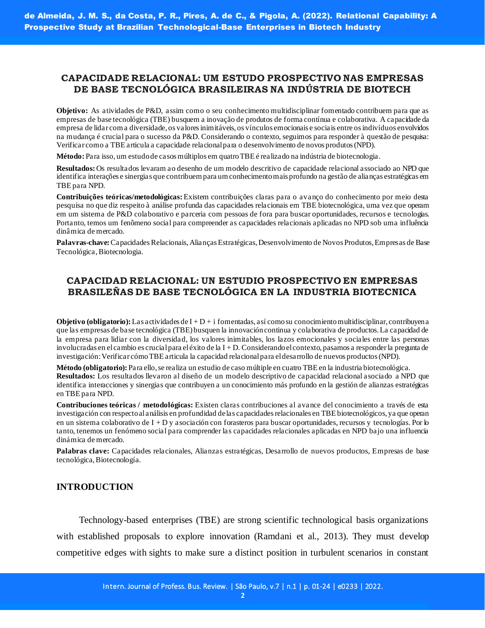# **CAPACIDADE RELACIONAL: UM ESTUDO PROSPECTIVO NAS EMPRESAS DE BASE TECNOLÓGICA BRASILEIRAS NA INDÚSTRIA DE BIOTECH**

**Objetivo:** As atividades de P&D, assim como o seu conhecimento multidisciplinar fomentado contribuem para que as empresas de base tecnológica (TBE) busquem a inovação de produtos de forma contínua e colaborativa. A capacidade da empresa de lidar com a diversidade, os valores inimitáveis, os vínculos emocionais e sociais entre os indivíduos envolvidos na mudança é crucial para o sucesso da P&D. Considerando o contexto, seguimos para responder à questão de pesquisa: Verificar como a TBE articula a capacidade relacional para o desenvolvimento de novos produtos (NPD).

**Método:**Para isso, um estudo de casos múltiplos em quatro TBE é realizado na indústria de biotecnologia.

**Resultados:**Os resultados levaram ao desenho de um modelo descritivo de capacidade relacional associado ao NPD que identifica interações e sinergias que contribuem para um conhecimento mais profundo na gestão de alianças estratégicas em TBE para NPD.

**Contribuições teóricas/metodológicas:** Existem contribuições claras para o avanço do conhecimento por meio desta pesquisa no que diz respeito à análise profunda das capacidades relacionais em TBE biotecnológica, uma vez que operam em um sistema de P&D colaborativo e parceria com pessoas de fora para buscar oportunidades, recursos e tecnologias. Portanto, temos um fenômeno social para compreender as capacidades relacionais aplicadas no NPD sob uma influência dinâmica de mercado.

**Palavras-chave:**Capacidades Relacionais, Alianças Estratégicas, Desenvolvimento de Novos Produtos, Empresas de Base Tecnológica, Biotecnologia.

# **CAPACIDAD RELACIONAL: UN ESTUDIO PROSPECTIVO EN EMPRESAS BRASILEÑAS DE BASE TECNOLÓGICA EN LA INDUSTRIA BIOTECNICA**

**Objetivo (obligatorio):** Las actividades de  $I + D + i$  fomentadas, así como su conocimiento multidisciplinar, contribuyen a que las empresas de base tecnológica (TBE) busquen la innovación continua y colaborativa de productos. La capacidad de la empresa para lidiar con la diversidad, los valores inimitables, los lazos emocionales y sociales entre las personas involucradas en el cambio es crucial para el éxito de la I + D. Considerando el contexto, pasamos a responder la pregunta de investigación: Verificar cómo TBE articula la capacidad relacional para el desarrollo de nuevos productos (NPD).

**Método (obligatorio):** Para ello, se realiza un estudio de caso múltiple en cuatro TBE en la industria biotecnológica. **Resultados:** Los resultados llevaron al diseño de un modelo descriptivo de capacidad relacional asociado a NPD que identifica interacciones y sinergias que contribuyen a un conocimiento más profundo en la gestión de alianzas estratégicas en TBE para NPD.

**Contribuciones teóricas / metodológicas:** Existen claras contribuciones al avance del conocimiento a través de esta investigación con respecto al análisis en profundidad de las capacidades relacionales en TBE biotecnológicos, ya que operan en un sistema colaborativo de  $I + D y$  asociación con forasteros para buscar oportunidades, recursos y tecnologías. Por lo tanto, tenemos un fenómeno social para comprender las capacidades relacionales aplicadas en NPD bajo una influencia dinámica de mercado.

**Palabras clave:** Capacidades relacionales, Alianzas estratégicas, Desarrollo de nuevos productos, Empresas de base tecnológica, Biotecnología.

## **INTRODUCTION**

Technology-based enterprises (TBE) are strong scientific technological basis organizations with established proposals to explore innovation (Ramdani et al., 2013). They must develop competitive edges with sights to make sure a distinct position in turbulent scenarios in constant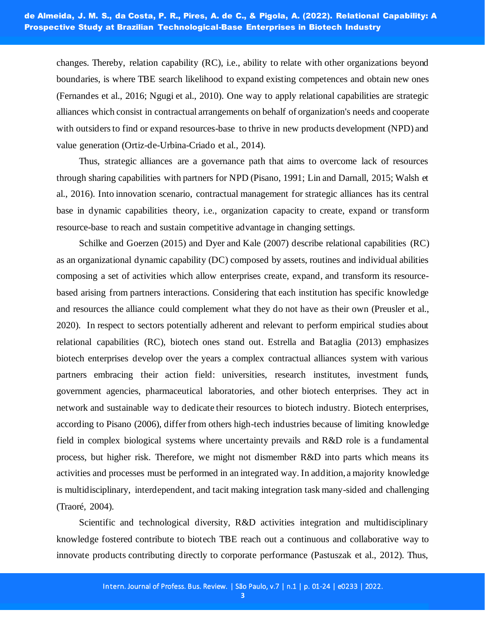changes. Thereby, relation capability (RC), i.e., ability to relate with other organizations beyond boundaries, is where TBE search likelihood to expand existing competences and obtain new ones (Fernandes et al., 2016; Ngugi et al., 2010). One way to apply relational capabilities are strategic alliances which consist in contractual arrangements on behalf of organization's needs and cooperate with outsiders to find or expand resources-base to thrive in new products development (NPD) and value generation (Ortiz-de-Urbina-Criado et al., 2014).

Thus, strategic alliances are a governance path that aims to overcome lack of resources through sharing capabilities with partners for NPD (Pisano, 1991; Lin and Darnall, 2015; Walsh et al., 2016). Into innovation scenario, contractual management for strategic alliances has its central base in dynamic capabilities theory, i.e., organization capacity to create, expand or transform resource-base to reach and sustain competitive advantage in changing settings.

Schilke and Goerzen (2015) and Dyer and Kale (2007) describe relational capabilities (RC) as an organizational dynamic capability (DC) composed by assets, routines and individual abilities composing a set of activities which allow enterprises create, expand, and transform its resourcebased arising from partners interactions. Considering that each institution has specific knowledge and resources the alliance could complement what they do not have as their own (Preusler et al., 2020). In respect to sectors potentially adherent and relevant to perform empirical studies about relational capabilities (RC), biotech ones stand out. Estrella and Bataglia (2013) emphasizes biotech enterprises develop over the years a complex contractual alliances system with various partners embracing their action field: universities, research institutes, investment funds, government agencies, pharmaceutical laboratories, and other biotech enterprises. They act in network and sustainable way to dedicate their resources to biotech industry. Biotech enterprises, according to Pisano (2006), differ from others high-tech industries because of limiting knowledge field in complex biological systems where uncertainty prevails and R&D role is a fundamental process, but higher risk. Therefore, we might not dismember R&D into parts which means its activities and processes must be performed in an integrated way. In addition, a majority knowledge is multidisciplinary, interdependent, and tacit making integration task many-sided and challenging (Traoré, 2004).

Scientific and technological diversity, R&D activities integration and multidisciplinary knowledge fostered contribute to biotech TBE reach out a continuous and collaborative way to innovate products contributing directly to corporate performance (Pastuszak et al., 2012). Thus,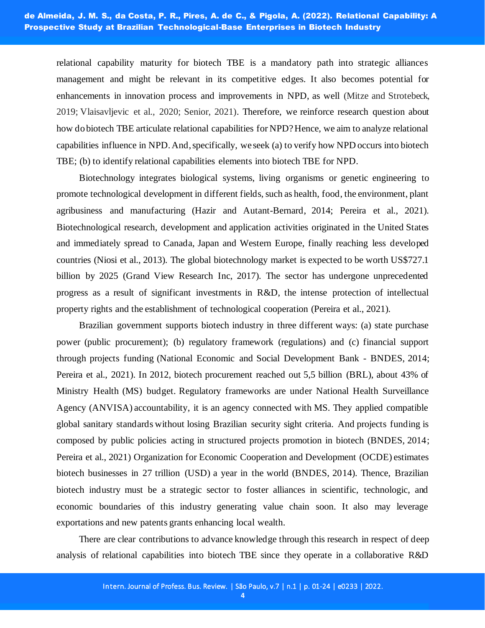relational capability maturity for biotech TBE is a mandatory path into strategic alliances management and might be relevant in its competitive edges. It also becomes potential for enhancements in innovation process and improvements in NPD, as well (Mitze and Strotebeck, 2019; Vlaisavljevic et al., 2020; Senior, 2021). Therefore, we reinforce research question about how do biotech TBE articulate relational capabilities for NPD? Hence, we aim to analyze relational capabilities influence in NPD. And, specifically, we seek (a) to verify how NPD occurs into biotech TBE; (b) to identify relational capabilities elements into biotech TBE for NPD.

Biotechnology integrates biological systems, living organisms or genetic engineering to promote technological development in different fields, such as health, food, the environment, plant agribusiness and manufacturing (Hazir and Autant-Bernard, 2014; Pereira et al., 2021). Biotechnological research, development and application activities originated in the United States and immediately spread to Canada, Japan and Western Europe, finally reaching less developed countries (Niosi et al., 2013). The global biotechnology market is expected to be worth US\$727.1 billion by 2025 (Grand View Research Inc, 2017). The sector has undergone unprecedented progress as a result of significant investments in R&D, the intense protection of intellectual property rights and the establishment of technological cooperation (Pereira et al., 2021).

Brazilian government supports biotech industry in three different ways: (a) state purchase power (public procurement); (b) regulatory framework (regulations) and (c) financial support through projects funding (National Economic and Social Development Bank - BNDES, 2014; Pereira et al., 2021). In 2012, biotech procurement reached out 5,5 billion (BRL), about 43% of Ministry Health (MS) budget. Regulatory frameworks are under National Health Surveillance Agency (ANVISA) accountability, it is an agency connected with MS. They applied compatible global sanitary standards without losing Brazilian security sight criteria. And projects funding is composed by public policies acting in structured projects promotion in biotech (BNDES, 2014; Pereira et al., 2021) Organization for Economic Cooperation and Development (OCDE) estimates biotech businesses in 27 trillion (USD) a year in the world (BNDES, 2014). Thence, Brazilian biotech industry must be a strategic sector to foster alliances in scientific, technologic, and economic boundaries of this industry generating value chain soon. It also may leverage exportations and new patents grants enhancing local wealth.

There are clear contributions to advance knowledge through this research in respect of deep analysis of relational capabilities into biotech TBE since they operate in a collaborative R&D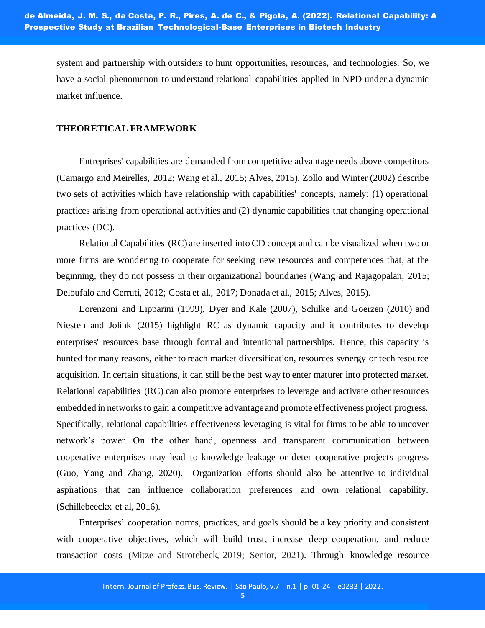system and partnership with outsiders to hunt opportunities, resources, and technologies. So, we have a social phenomenon to understand relational capabilities applied in NPD under a dynamic market influence.

## **THEORETICAL FRAMEWORK**

Entreprises' capabilities are demanded from competitive advantage needs above competitors (Camargo and Meirelles, 2012; Wang et al., 2015; Alves, 2015). Zollo and Winter (2002) describe two sets of activities which have relationship with capabilities' concepts, namely: (1) operational practices arising from operational activities and (2) dynamic capabilities that changing operational practices (DC).

Relational Capabilities (RC) are inserted into CD concept and can be visualized when two or more firms are wondering to cooperate for seeking new resources and competences that, at the beginning, they do not possess in their organizational boundaries (Wang and Rajagopalan, 2015; Delbufalo and Cerruti, 2012; Costa et al., 2017; Donada et al., 2015; Alves, 2015).

Lorenzoni and Lipparini (1999), Dyer and Kale (2007), Schilke and Goerzen (2010) and Niesten and Jolink (2015) highlight RC as dynamic capacity and it contributes to develop enterprises' resources base through formal and intentional partnerships. Hence, this capacity is hunted for many reasons, either to reach market diversification, resources synergy or tech resource acquisition. In certain situations, it can still be the best way to enter maturer into protected market. Relational capabilities (RC) can also promote enterprises to leverage and activate other resources embedded in networks to gain a competitive advantage and promote effectiveness project progress. Specifically, relational capabilities effectiveness leveraging is vital for firms to be able to uncover network's power. On the other hand, openness and transparent communication between cooperative enterprises may lead to knowledge leakage or deter cooperative projects progress (Guo, Yang and Zhang, 2020). Organization efforts should also be attentive to individual aspirations that can influence collaboration preferences and own relational capability. (Schillebeeckx et al, 2016).

Enterprises' cooperation norms, practices, and goals should be a key priority and consistent with cooperative objectives, which will build trust, increase deep cooperation, and reduce transaction costs (Mitze and Strotebeck, 2019; Senior, 2021). Through knowledge resource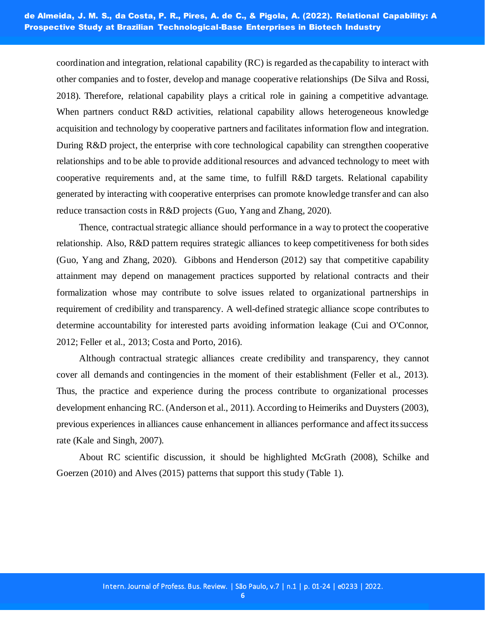coordination and integration, relational capability (RC) is regarded as the capability to interact with other companies and to foster, develop and manage cooperative relationships (De Silva and Rossi, 2018). Therefore, relational capability plays a critical role in gaining a competitive advantage. When partners conduct R&D activities, relational capability allows heterogeneous knowledge acquisition and technology by cooperative partners and facilitates information flow and integration. During R&D project, the enterprise with core technological capability can strengthen cooperative relationships and to be able to provide additional resources and advanced technology to meet with cooperative requirements and, at the same time, to fulfill R&D targets. Relational capability generated by interacting with cooperative enterprises can promote knowledge transfer and can also reduce transaction costs in R&D projects (Guo, Yang and Zhang, 2020).

Thence, contractual strategic alliance should performance in a way to protect the cooperative relationship. Also, R&D pattern requires strategic alliances to keep competitiveness for both sides (Guo, Yang and Zhang, 2020). Gibbons and Henderson (2012) say that competitive capability attainment may depend on management practices supported by relational contracts and their formalization whose may contribute to solve issues related to organizational partnerships in requirement of credibility and transparency. A well-defined strategic alliance scope contributes to determine accountability for interested parts avoiding information leakage (Cui and O'Connor, 2012; Feller et al., 2013; Costa and Porto, 2016).

Although contractual strategic alliances create credibility and transparency, they cannot cover all demands and contingencies in the moment of their establishment (Feller et al., 2013). Thus, the practice and experience during the process contribute to organizational processes development enhancing RC. (Anderson et al., 2011). According to Heimeriks and Duysters (2003), previous experiences in alliances cause enhancement in alliances performance and affect its success rate (Kale and Singh, 2007).

About RC scientific discussion, it should be highlighted McGrath (2008), Schilke and Goerzen (2010) and Alves (2015) patterns that support this study (Table 1).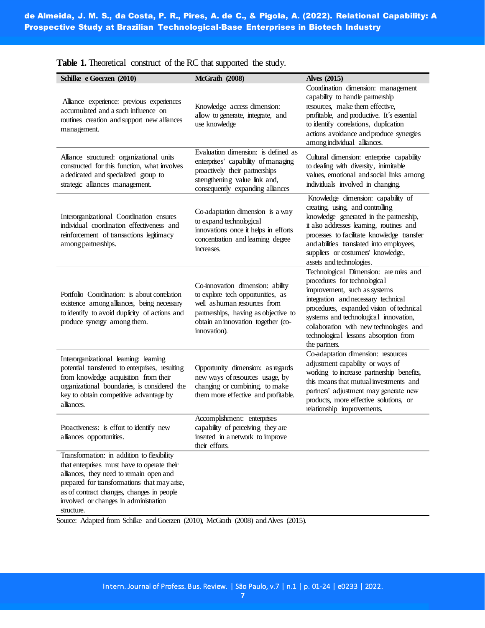| Schilke e Goerzen (2010)                                                                                                                                                                                                                                                                 | <b>McGrath</b> (2008)                                                                                                                                                                               | <b>Alves (2015)</b>                                                                                                                                                                                                                                                                                                                     |
|------------------------------------------------------------------------------------------------------------------------------------------------------------------------------------------------------------------------------------------------------------------------------------------|-----------------------------------------------------------------------------------------------------------------------------------------------------------------------------------------------------|-----------------------------------------------------------------------------------------------------------------------------------------------------------------------------------------------------------------------------------------------------------------------------------------------------------------------------------------|
| Alliance experience: previous experiences<br>accumulated and a such influence on<br>routines creation and support new alliances<br>management.                                                                                                                                           | Knowledge access dimension:<br>allow to generate, integrate, and<br>use knowledge                                                                                                                   | Coordination dimension: management<br>capability to handle partnership<br>resources, make them effective,<br>profitable, and productive. It's essential<br>to identify correlations, duplication<br>actions avoidance and produce synergies<br>among individual alliances.                                                              |
| Alliance structured: organizational units<br>constructed for this function, what involves<br>a dedicated and specialized group to<br>strategic alliances management.                                                                                                                     | Evaluation dimension: is defined as<br>enterprises' capability of managing<br>proactively their partnerships<br>strengthening value link and,<br>consequently expanding alliances                   | Cultural dimension: enterprise capability<br>to dealing with diversity, inimitable<br>values, emotional and social links among<br>individuals involved in changing.                                                                                                                                                                     |
| Interorganizational Coordination ensures<br>individual coordination effectiveness and<br>reinforcement of transactions legitimacy<br>among partnerships.                                                                                                                                 | Co-adaptation dimension is a way<br>to expand technological<br>innovations once it helps in efforts<br>concentration and learning degree<br>increases.                                              | Knowledge dimension: capability of<br>creating, using, and controlling<br>knowledge generated in the partnership,<br>it also addresses learning, routines and<br>processes to facilitate knowledge transfer<br>and abilities translated into employees,<br>suppliers or costumers' knowledge,<br>assets and technologies.               |
| Portfolio Coordination: is about correlation<br>existence among alliances, being necessary<br>to identify to avoid duplicity of actions and<br>produce synergy among them.                                                                                                               | Co-innovation dimension: ability<br>to explore tech opportunities, as<br>well as human resources from<br>partnerships, having as objective to<br>obtain an innovation together (co-<br>innovation). | Technological Dimension: are rules and<br>procedures for technological<br>improvement, such as systems<br>integration and necessary technical<br>procedures, expanded vision of technical<br>systems and technological innovation,<br>collaboration with new technologies and<br>technological lessons absorption from<br>the partners. |
| Interorganizational learning: learning<br>potential transferred to enterprises, resulting<br>from knowledge acquisition from their<br>organizational boundaries, is considered the<br>key to obtain competitive advantage by<br>alliances.                                               | Opportunity dimension: as regards<br>new ways of resources usage, by<br>changing or combining, to make<br>them more effective and profitable.                                                       | Co-adaptation dimension: resources<br>adjustment capability or ways of<br>working to increase partnership benefits,<br>this means that mutual investments and<br>partners' adjustment may generate new<br>products, more effective solutions, or<br>relationship improvements.                                                          |
| Proactiveness: is effort to identify new<br>alliances opportunities.                                                                                                                                                                                                                     | Accomplishment: enterprises<br>capability of perceiving they are<br>inserted in a network to improve<br>their efforts.                                                                              |                                                                                                                                                                                                                                                                                                                                         |
| Transformation: in addition to flexibility<br>that enterprises must have to operate their<br>alliances, they need to remain open and<br>prepared for transformations that may arise,<br>as of contract changes, changes in people<br>involved or changes in administration<br>structure. |                                                                                                                                                                                                     |                                                                                                                                                                                                                                                                                                                                         |

**Table 1.** Theoretical construct of the RC that supported the study.

Source: Adapted from Schilke and Goerzen (2010), McGrath (2008) and Alves (2015).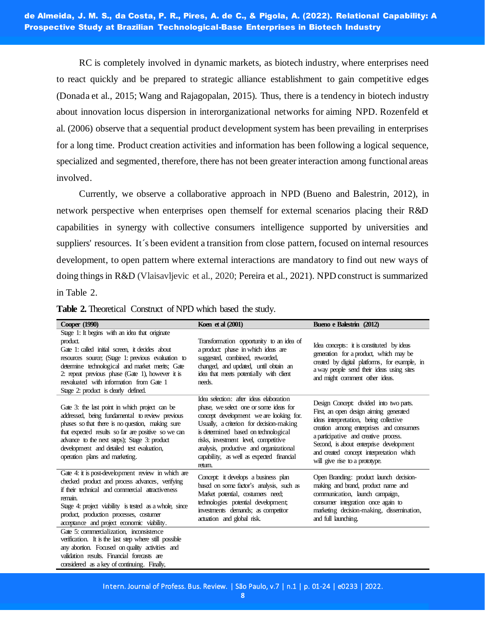RC is completely involved in dynamic markets, as biotech industry, where enterprises need to react quickly and be prepared to strategic alliance establishment to gain competitive edges (Donada et al., 2015; Wang and Rajagopalan, 2015). Thus, there is a tendency in biotech industry about innovation locus dispersion in interorganizational networks for aiming NPD. Rozenfeld et al. (2006) observe that a sequential product development system has been prevailing in enterprises for a long time. Product creation activities and information has been following a logical sequence, specialized and segmented, therefore, there has not been greater interaction among functional areas involved.

Currently, we observe a collaborative approach in NPD (Bueno and Balestrin, 2012), in network perspective when enterprises open themself for external scenarios placing their R&D capabilities in synergy with collective consumers intelligence supported by universities and suppliers' resources. It´s been evident a transition from close pattern, focused on internal resources development, to open pattern where external interactions are mandatory to find out new ways of doing things in R&D (Vlaisavljevic et al., 2020; Pereira et al., 2021). NPD construct is summarized in Table 2.

| Cooper (1990)                                                                                                                                                                                                                                                                                                                                                  | Koen et al (2001)                                                                                                                                                                                                                                                                                                                                           | Bueno e Balestrin (2012)                                                                                                                                                                                                                                                                                                                  |
|----------------------------------------------------------------------------------------------------------------------------------------------------------------------------------------------------------------------------------------------------------------------------------------------------------------------------------------------------------------|-------------------------------------------------------------------------------------------------------------------------------------------------------------------------------------------------------------------------------------------------------------------------------------------------------------------------------------------------------------|-------------------------------------------------------------------------------------------------------------------------------------------------------------------------------------------------------------------------------------------------------------------------------------------------------------------------------------------|
| Stage 1: It begins with an idea that originate<br>product.<br>Gate 1: called initial screen, it decides about<br>resources source; (Stage 1: previous evaluation to<br>determine technological and market merits; Gate<br>2: repeat previous phase (Gate 1), however it is<br>reevaluated with information from Gate 1<br>Stage 2: product is clearly defined. | Transformation opportunity to an idea of<br>a product: phase in which ideas are<br>suggested, combined, reworded,<br>changed, and updated, until obtain an<br>idea that meets potentially with client<br>needs.                                                                                                                                             | Idea concepts: it is constituted by ideas<br>generation for a product, which may be<br>created by digital platforms, for example, in<br>a way people send their ideas using sites<br>and might comment other ideas.                                                                                                                       |
| Gate 3: the last point in which project can be<br>addressed, being fundamental to review previous<br>phases so that there is no question, making sure<br>that expected results so far are positive so we can<br>advance to the next steps); Stage 3: product<br>development and detailed test evaluation,<br>operation plans and marketing.                    | Idea selection: after ideas elaboration<br>phase, we select one or some ideas for<br>concept development we are looking for.<br>Usually, a criterion for decision-making<br>is determined based on technological<br>risks, investment level, competitive<br>analysis, productive and organizational<br>capability, as well as expected financial<br>return. | Design Concept: divided into two parts.<br>First, an open design aiming generated<br>ideas interpretation, being collective<br>creation among enterprises and consumers<br>a participative and creative process.<br>Second, is about enterprise development<br>and created concept interpretation which<br>will give rise to a prototype. |
| Gate 4: it is post-development review in which are<br>checked product and process advances, verifying<br>if their technical and commercial attractiveness<br>remain.<br>Stage 4: project viability is tested as a whole, since<br>product, production processes, costumer<br>acceptance and project economic viability.                                        | Concept: it develops a business plan<br>based on some factor's analysis, such as<br>Market potential, costumers need;<br>technologies potential development;<br>investments demands; as competitor<br>actuation and global risk.                                                                                                                            | Open Branding: product launch decision-<br>making and brand, product name and<br>communication, launch campaign,<br>consumer integration once again to<br>marketing decision-making, dissemination,<br>and full launching.                                                                                                                |
| Gate 5: commercialization, inconsistence<br>verification. It is the last step where still possible<br>any abortion. Focused on quality activities and<br>validation results. Financial forecasts are<br>considered as a key of continuing. Finally,                                                                                                            |                                                                                                                                                                                                                                                                                                                                                             |                                                                                                                                                                                                                                                                                                                                           |

**Table 2.** Theoretical Construct of NPD which based the study.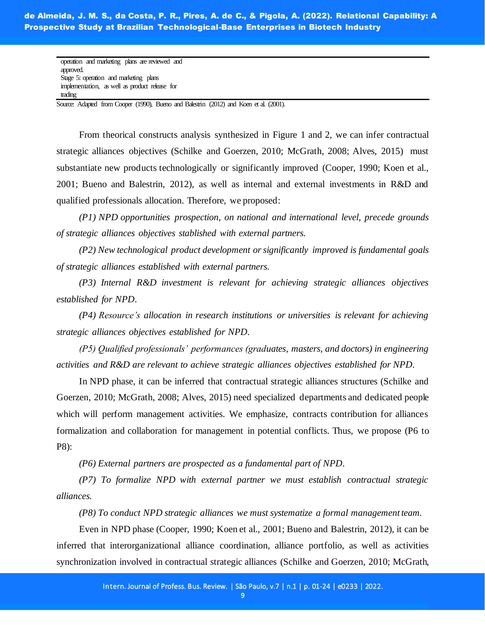operation and marketing plans are reviewed and approved. Stage 5: operation and marketing plans implementation, as well as product release for trading

Source: Adapted from Cooper (1990), Bueno and Balestrin (2012) and Koen et al. (2001).

From theorical constructs analysis synthesized in Figure 1 and 2, we can infer contractual strategic alliances objectives (Schilke and Goerzen, 2010; McGrath, 2008; Alves, 2015) must substantiate new products technologically or significantly improved (Cooper, 1990; Koen et al., 2001; Bueno and Balestrin, 2012), as well as internal and external investments in R&D and qualified professionals allocation. Therefore, we proposed:

*(P1) NPD opportunities prospection, on national and international level, precede grounds of strategic alliances objectives stablished with external partners.*

*(P2) New technological product development or significantly improved is fundamental goals of strategic alliances established with external partners.*

*(P3) Internal R&D investment is relevant for achieving strategic alliances objectives established for NPD.*

*(P4) Resource's allocation in research institutions or universities is relevant for achieving strategic alliances objectives established for NPD.*

*(P5) Qualified professionals' performances (graduates, masters, and doctors) in engineering activities and R&D are relevant to achieve strategic alliances objectives established for NPD.*

In NPD phase, it can be inferred that contractual strategic alliances structures (Schilke and Goerzen, 2010; McGrath, 2008; Alves, 2015) need specialized departments and dedicated people which will perform management activities. We emphasize, contracts contribution for alliances formalization and collaboration for management in potential conflicts. Thus, we propose (P6 to P8):

*(P6) External partners are prospected as a fundamental part of NPD.*

*(P7) To formalize NPD with external partner we must establish contractual strategic alliances.*

*(P8) To conduct NPD strategic alliances we must systematize a formal management team.*

Even in NPD phase (Cooper, 1990; Koen et al., 2001; Bueno and Balestrin, 2012), it can be inferred that interorganizational alliance coordination, alliance portfolio, as well as activities synchronization involved in contractual strategic alliances (Schilke and Goerzen, 2010; McGrath,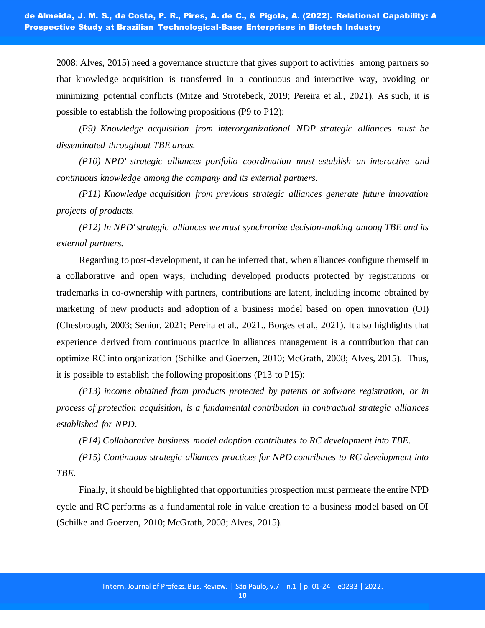2008; Alves, 2015) need a governance structure that gives support to activities among partners so that knowledge acquisition is transferred in a continuous and interactive way, avoiding or minimizing potential conflicts (Mitze and Strotebeck, 2019; Pereira et al., 2021). As such, it is possible to establish the following propositions (P9 to P12):

*(P9) Knowledge acquisition from interorganizational NDP strategic alliances must be disseminated throughout TBE areas.*

*(P10) NPD' strategic alliances portfolio coordination must establish an interactive and continuous knowledge among the company and its external partners.*

*(P11) Knowledge acquisition from previous strategic alliances generate future innovation projects of products.*

*(P12) In NPD' strategic alliances we must synchronize decision-making among TBE and its external partners.*

Regarding to post-development, it can be inferred that, when alliances configure themself in a collaborative and open ways, including developed products protected by registrations or trademarks in co-ownership with partners, contributions are latent, including income obtained by marketing of new products and adoption of a business model based on open innovation (OI) (Chesbrough, 2003; Senior, 2021; Pereira et al., 2021., Borges et al., 2021). It also highlights that experience derived from continuous practice in alliances management is a contribution that can optimize RC into organization (Schilke and Goerzen, 2010; McGrath, 2008; Alves, 2015). Thus, it is possible to establish the following propositions (P13 to P15):

*(P13) income obtained from products protected by patents or software registration, or in process of protection acquisition, is a fundamental contribution in contractual strategic alliances established for NPD.*

*(P14) Collaborative business model adoption contributes to RC development into TBE.*

*(P15) Continuous strategic alliances practices for NPD contributes to RC development into TBE.*

Finally, it should be highlighted that opportunities prospection must permeate the entire NPD cycle and RC performs as a fundamental role in value creation to a business model based on OI (Schilke and Goerzen, 2010; McGrath, 2008; Alves, 2015).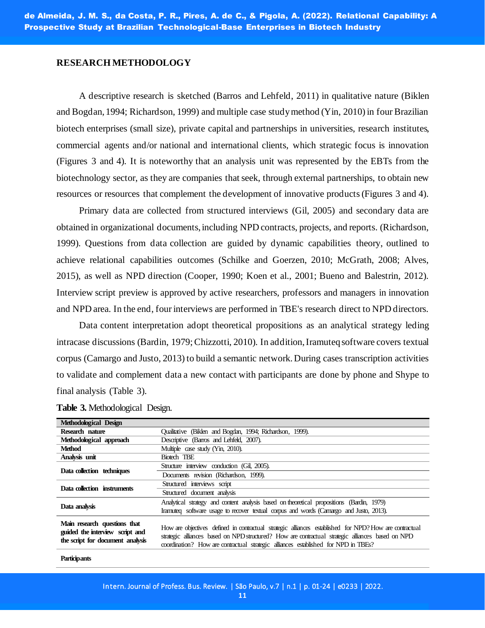#### **RESEARCH METHODOLOGY**

A descriptive research is sketched (Barros and Lehfeld, 2011) in qualitative nature (Biklen and Bogdan, 1994; Richardson, 1999) and multiple case study method (Yin, 2010) in four Brazilian biotech enterprises (small size), private capital and partnerships in universities, research institutes, commercial agents and/or national and international clients, which strategic focus is innovation (Figures 3 and 4). It is noteworthy that an analysis unit was represented by the EBTs from the biotechnology sector, as they are companies that seek, through external partnerships, to obtain new resources or resources that complement the development of innovative products (Figures 3 and 4).

Primary data are collected from structured interviews (Gil, 2005) and secondary data are obtained in organizational documents, including NPD contracts, projects, and reports. (Richardson, 1999). Questions from data collection are guided by dynamic capabilities theory, outlined to achieve relational capabilities outcomes (Schilke and Goerzen, 2010; McGrath, 2008; Alves, 2015), as well as NPD direction (Cooper, 1990; Koen et al., 2001; Bueno and Balestrin, 2012). Interview script preview is approved by active researchers, professors and managers in innovation and NPD area. In the end, four interviews are performed in TBE's research direct to NPD directors.

Data content interpretation adopt theoretical propositions as an analytical strategy leding intracase discussions (Bardin, 1979; Chizzotti, 2010). In addition, Iramuteq software covers textual corpus (Camargo and Justo, 2013) to build a semantic network. During cases transcription activities to validate and complement data a new contact with participants are done by phone and Shype to final analysis (Table 3).

| Methodological Design                                                                               |                                                                                                                                                                                                                                                                                                   |
|-----------------------------------------------------------------------------------------------------|---------------------------------------------------------------------------------------------------------------------------------------------------------------------------------------------------------------------------------------------------------------------------------------------------|
| Research nature                                                                                     | Oualitative (Biklen and Bogdan, 1994; Richardson, 1999).                                                                                                                                                                                                                                          |
| Methodological approach                                                                             | Descriptive (Barros and Lehfeld, 2007).                                                                                                                                                                                                                                                           |
| <b>Method</b>                                                                                       | Multiple case study (Yin, 2010).                                                                                                                                                                                                                                                                  |
| Analysis unit                                                                                       | Biotech TBE                                                                                                                                                                                                                                                                                       |
|                                                                                                     | Structure interview conduction (Gil, 2005).                                                                                                                                                                                                                                                       |
| Data collection techniques                                                                          | Documents revision (Richardson, 1999).                                                                                                                                                                                                                                                            |
|                                                                                                     | Structured interviews script                                                                                                                                                                                                                                                                      |
| Data collection instruments                                                                         | Structured document analysis                                                                                                                                                                                                                                                                      |
|                                                                                                     | Analytical strategy and content analysis based on theoretical propositions (Bardin, 1979)                                                                                                                                                                                                         |
| Data analysis                                                                                       | Iramuteg software usage to recover textual corpus and words (Camargo and Justo, 2013).                                                                                                                                                                                                            |
| Main research questions that<br>guided the interview script and<br>the script for document analysis | How are objectives defined in contractual strategic alliances established for NPD? How are contractual<br>strategic alliances based on NPD structured? How are contractual strategic alliances based on NPD<br>coordination? How are contractual strategic alliances established for NPD in TBEs? |

#### **Table 3.** Methodological Design.

**Participants**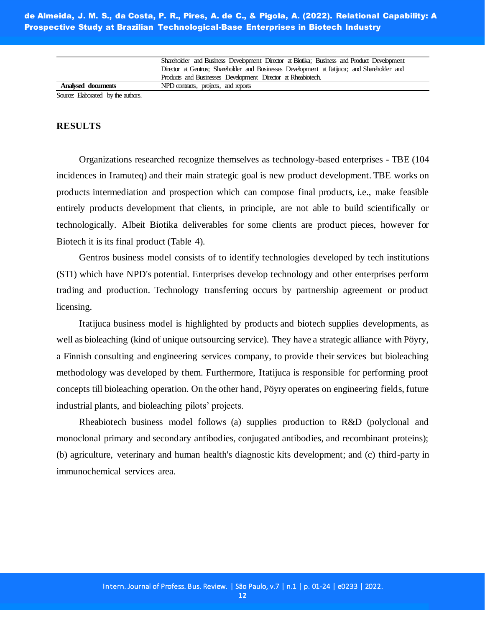Shareholder and Business Development Director at Biotika; Business and Product Development Director at Gentros; Shareholder and Businesses Development at Itatijuca; and Shareholder and Products and Businesses Development Director at Rheabiotech. **Analysed documents** NPD contracts, projects, and reports

Source: Elaborated by the authors.

#### **RESULTS**

Organizations researched recognize themselves as technology-based enterprises - TBE (104 incidences in Iramuteq) and their main strategic goal is new product development. TBE works on products intermediation and prospection which can compose final products, i.e., make feasible entirely products development that clients, in principle, are not able to build scientifically or technologically. Albeit Biotika deliverables for some clients are product pieces, however for Biotech it is its final product (Table 4).

Gentros business model consists of to identify technologies developed by tech institutions (STI) which have NPD's potential. Enterprises develop technology and other enterprises perform trading and production. Technology transferring occurs by partnership agreement or product licensing.

Itatijuca business model is highlighted by products and biotech supplies developments, as well as bioleaching (kind of unique outsourcing service). They have a strategic alliance with Pöyry, a Finnish consulting and engineering services company, to provide their services but bioleaching methodology was developed by them. Furthermore, Itatijuca is responsible for performing proof concepts till bioleaching operation. On the other hand, Pöyry operates on engineering fields, future industrial plants, and bioleaching pilots' projects.

Rheabiotech business model follows (a) supplies production to R&D (polyclonal and monoclonal primary and secondary antibodies, conjugated antibodies, and recombinant proteins); (b) agriculture, veterinary and human health's diagnostic kits development; and (c) third-party in immunochemical services area.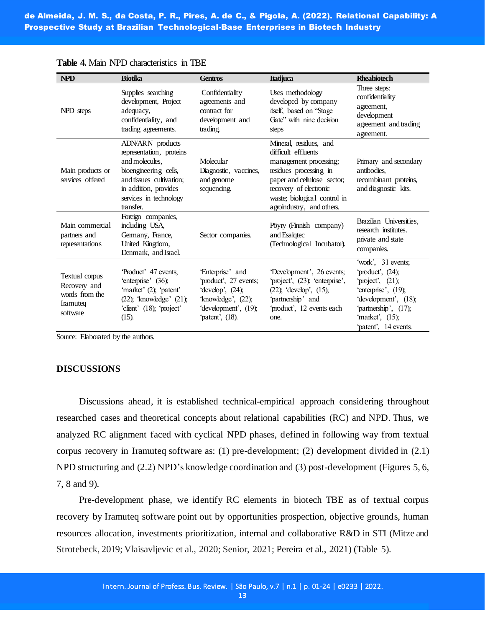| <b>NPD</b>                                                               | <b>Biotika</b>                                                                                                                                                                      | <b>Gentros</b>                                                                                                                          | <b>Itatijuca</b>                                                                                                                                                                                                       | <b>Rheabiotech</b>                                                                                                                                                                      |
|--------------------------------------------------------------------------|-------------------------------------------------------------------------------------------------------------------------------------------------------------------------------------|-----------------------------------------------------------------------------------------------------------------------------------------|------------------------------------------------------------------------------------------------------------------------------------------------------------------------------------------------------------------------|-----------------------------------------------------------------------------------------------------------------------------------------------------------------------------------------|
| NPD steps                                                                | Supplies searching<br>development, Project<br>adequacy,<br>confidentiality, and<br>trading agreements.                                                                              | Confidentiality<br>agreements and<br>contract for<br>development and<br>trading.                                                        | Uses methodology<br>developed by company<br>itself, based on "Stage<br>Gate" with nine decision<br>steps                                                                                                               | Three steps:<br>confidentiality<br>agreement,<br>development<br>agreement and trading<br>agreement.                                                                                     |
| Main products or<br>services offered                                     | ADN/ARN products<br>representation, proteins<br>and molecules.<br>bioengineering cells,<br>and tissues cultivation:<br>in addition, provides<br>services in technology<br>transfer. | Molecular<br>Diagnostic, vaccines,<br>and genome<br>sequencing.                                                                         | Mineral, residues, and<br>difficult effluents<br>management processing;<br>residues processing in<br>paper and cellulose sector,<br>recovery of electronic<br>waste; biological control in<br>agoindustry, and others. | Primary and secondary<br>antibodies.<br>recombinant proteins,<br>and diagnostic kits.                                                                                                   |
| Main commercial<br>partners and<br>representations                       | Foreign companies,<br>including USA,<br>Germany, France,<br>United Kingdom,<br>Denmark, and Israel.                                                                                 | Sector companies.                                                                                                                       | Pöyry (Finnish company)<br>and Esalgtec<br>(Technological Incubator).                                                                                                                                                  | Brazilian Universities,<br>research institutes.<br>private and state<br>companies.                                                                                                      |
| Textual corpus<br>Recovery and<br>words from the<br>Iramuteq<br>software | Product' 47 events;<br>'enterprise' (36);<br>'market' (2); 'patent'<br>$(22)$ ; 'knowledge' $(21)$ ;<br>'client' (18); 'project'<br>$(15)$ .                                        | 'Enterprise' and<br>'product', 27 events;<br>'develop', $(24)$ ;<br>'knowledge', $(22)$ ;<br>'development', (19);<br>'patent', $(18)$ . | Development', 26 events;<br>'project', (23); 'enterprise',<br>$(22)$ ; 'develop', $(15)$ ;<br>'partnership' and<br>'product', 12 events each<br>one.                                                                   | 'work', 31 events;<br>'product', $(24)$ ;<br>'project', $(21)$ ;<br>'enterprise', $(19)$ ;<br>'development', (18);<br>'partnership', (17);<br>'market', $(15)$ ;<br>patent', 14 events. |

**Table 4.** Main NPD characteristics in TBE

Source: Elaborated by the authors.

#### **DISCUSSIONS**

Discussions ahead, it is established technical-empirical approach considering throughout researched cases and theoretical concepts about relational capabilities (RC) and NPD. Thus, we analyzed RC alignment faced with cyclical NPD phases, defined in following way from textual corpus recovery in Iramuteq software as: (1) pre-development; (2) development divided in (2.1) NPD structuring and (2.2) NPD's knowledge coordination and (3) post-development (Figures 5, 6, 7, 8 and 9).

Pre-development phase, we identify RC elements in biotech TBE as of textual corpus recovery by Iramuteq software point out by opportunities prospection, objective grounds, human resources allocation, investments prioritization, internal and collaborative R&D in STI (Mitze and Strotebeck, 2019; Vlaisavljevic et al., 2020; Senior, 2021; Pereira et al., 2021) (Table 5).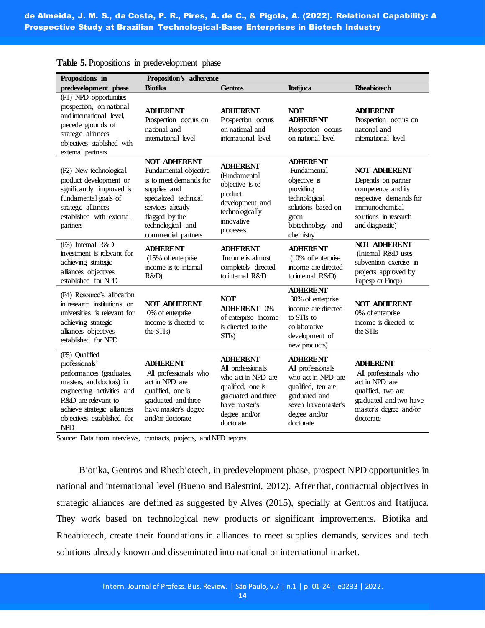| Propositions in                                                                                                                                                                                                          | Proposition's adherence                                                                                                                                                                           |                                                                                                                                                       |                                                                                                                                                        |                                                                                                                                                         |
|--------------------------------------------------------------------------------------------------------------------------------------------------------------------------------------------------------------------------|---------------------------------------------------------------------------------------------------------------------------------------------------------------------------------------------------|-------------------------------------------------------------------------------------------------------------------------------------------------------|--------------------------------------------------------------------------------------------------------------------------------------------------------|---------------------------------------------------------------------------------------------------------------------------------------------------------|
| predevelopment phase                                                                                                                                                                                                     | <b>Biotika</b>                                                                                                                                                                                    | <b>Gentros</b>                                                                                                                                        | Itatijuca                                                                                                                                              | <b>Rheabiotech</b>                                                                                                                                      |
| (P1) NPD opportunities<br>prospection, on national<br>and international level,<br>precede grounds of<br>strategic alliances<br>objectives stablished with<br>external partners                                           | <b>ADHERENT</b><br>Prospection occurs on<br>national and<br>international level                                                                                                                   | <b>ADHERENT</b><br>Prospection occurs<br>on national and<br>international level                                                                       | <b>NOT</b><br><b>ADHERENT</b><br>Prospection occurs<br>on national level                                                                               | <b>ADHERENT</b><br>Prospection occurs on<br>national and<br>international level                                                                         |
| (P2) New technological<br>product development or<br>significantly improved is<br>fundamental goals of<br>strategic alliances<br>established with external<br>partners                                                    | <b>NOT ADHERENT</b><br>Fundamental objective<br>is to meet demands for<br>supplies and<br>specialized technical<br>services already<br>flagged by the<br>technological and<br>commercial partners | <b>ADHERENT</b><br>(Fundamental<br>objective is to<br>product<br>development and<br>technologically<br>innovative<br>processes                        | <b>ADHERENT</b><br>Fundamental<br>objective is<br>providing<br>technologica1<br>solutions based on<br>green<br>biotechnology and<br>chemistry          | <b>NOT ADHERENT</b><br>Depends on partner<br>competence and its<br>respective demands for<br>immunochemical<br>solutions in research<br>and diagnostic) |
| (P3) Internal R&D<br>investment is relevant for<br>achieving strategic<br>alliances objectives<br>established for NPD                                                                                                    | <b>ADHERENT</b><br>(15% of enterprise<br>income is to internal<br>R&D)                                                                                                                            | <b>ADHERENT</b><br>Income is almost<br>completely directed<br>to internal R&D                                                                         | <b>ADHERENT</b><br>$(10\% \text{ of enterprise})$<br>income are directed<br>to internal R&D)                                                           | <b>NOT ADHERENT</b><br>(Internal R&D uses<br>subvention exercise in<br>projects approved by<br>Fapesp or Finep)                                         |
| (P4) Resource's allocation<br>in research institutions or<br>universities is relevant for<br>achieving strategic<br>alliances objectives<br>established for NPD                                                          | <b>NOT ADHERENT</b><br>0% of enterprise<br>income is directed to<br>the STIs)                                                                                                                     | <b>NOT</b><br><b>ADHERENT 0%</b><br>of enterprise income<br>is directed to the<br>STI <sub>s</sub> )                                                  | <b>ADHERENT</b><br>30% of enterprise<br>income are directed<br>to STIs to<br>collaborative<br>development of<br>new products)                          | <b>NOT ADHERENT</b><br>0% of enterprise<br>income is directed to<br>the STIs                                                                            |
| (P5) Qualified<br>professionals'<br>performances (graduates,<br>masters, and doctors) in<br>engineering activities and<br>R&D are relevant to<br>achieve strategic alliances<br>objectives established for<br><b>NPD</b> | <b>ADHERENT</b><br>All professionals who<br>act in NPD are<br>qualified, one is<br>graduated and three<br>have master's degree<br>and/or doctorate                                                | <b>ADHERENT</b><br>All professionals<br>who act in NPD are<br>qualified, one is<br>graduated and three<br>have master's<br>degree and/or<br>doctorate | <b>ADHERENT</b><br>All professionals<br>who act in NPD are<br>qualified, ten are<br>graduated and<br>seven have master's<br>degree and/or<br>doctorate | <b>ADHERENT</b><br>All professionals who<br>act in NPD are<br>qualified, two are<br>graduated and two have<br>master's degree and/or<br>doctorate       |

**Table 5.** Propositions in predevelopment phase

Source: Data from interviews, contracts, projects, and NPD reports

Biotika, Gentros and Rheabiotech, in predevelopment phase, prospect NPD opportunities in national and international level (Bueno and Balestrini, 2012). After that, contractual objectives in strategic alliances are defined as suggested by Alves (2015), specially at Gentros and Itatijuca. They work based on technological new products or significant improvements. Biotika and Rheabiotech, create their foundations in alliances to meet supplies demands, services and tech solutions already known and disseminated into national or international market.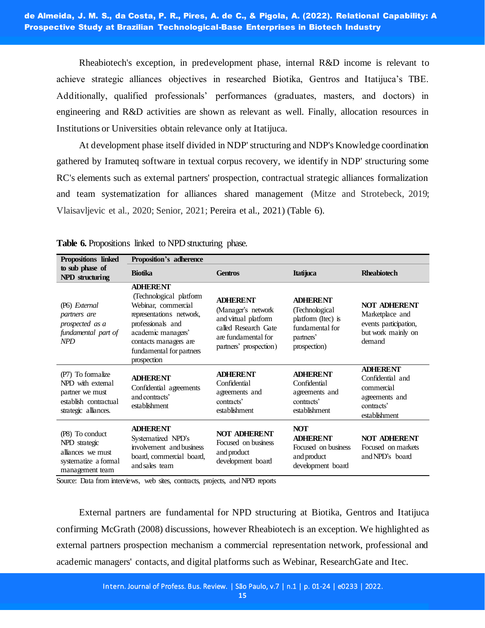Rheabiotech's exception, in predevelopment phase, internal R&D income is relevant to achieve strategic alliances objectives in researched Biotika, Gentros and Itatijuca's TBE. Additionally, qualified professionals' performances (graduates, masters, and doctors) in engineering and R&D activities are shown as relevant as well. Finally, allocation resources in Institutions or Universities obtain relevance only at Itatijuca.

At development phase itself divided in NDP' structuring and NDP's Knowledge coordination gathered by Iramuteq software in textual corpus recovery, we identify in NDP' structuring some RC's elements such as external partners' prospection, contractual strategic alliances formalization and team systematization for alliances shared management (Mitze and Strotebeck, 2019; Vlaisavljevic et al., 2020; Senior, 2021; Pereira et al., 2021) (Table 6).

| Propositions linked                                                                                        | <b>Proposition's adherence</b>                                                                                                                                                                               |                                                                                                                                        |                                                                                                         |                                                                                                    |
|------------------------------------------------------------------------------------------------------------|--------------------------------------------------------------------------------------------------------------------------------------------------------------------------------------------------------------|----------------------------------------------------------------------------------------------------------------------------------------|---------------------------------------------------------------------------------------------------------|----------------------------------------------------------------------------------------------------|
| to sub phase of<br>NPD structuring                                                                         | <b>Biotika</b>                                                                                                                                                                                               | <b>Gentros</b>                                                                                                                         | <b>Itatijuca</b>                                                                                        | <b>Rheabiotech</b>                                                                                 |
| (P6) External<br>partners are<br>prospected as a<br>fundamental part of<br><b>NPD</b>                      | <b>ADHERENT</b><br>(Technological platform<br>Webinar, commercial<br>representations network,<br>professionals and<br>academic managers'<br>contacts managers are<br>fundamental for partners<br>prospection | <b>ADHERENT</b><br>(Manager's network<br>and virtual platform<br>called Research Gate<br>are fundamental for<br>partners' prospection) | <b>ADHERENT</b><br>(Technological<br>platform (Itec) is<br>fundamental for<br>partners'<br>prospection) | <b>NOT ADHERENT</b><br>Marketplace and<br>events participation,<br>but work mainly on<br>demand    |
| (P7) To formalize<br>NPD with external<br>partner we must<br>establish contractual<br>strategic alliances. | <b>ADHERENT</b><br>Confidential agreements<br>and contracts'<br>establishment                                                                                                                                | <b>ADHERENT</b><br>Confidential<br>agreements and<br>contracts'<br>establishment                                                       | <b>ADHERENT</b><br>Confidential<br>agreements and<br>contracts <sup>2</sup><br>establishment            | <b>ADHERENT</b><br>Confidential and<br>commercial<br>agreements and<br>contracts'<br>establishment |
| (P8) To conduct<br>NPD strategic<br>alliances we must<br>systematize a formal<br>management team           | <b>ADHERENT</b><br>Systematized NPD's<br>involvement and business<br>board, commercial board,<br>and sales team                                                                                              | <b>NOT ADHERENT</b><br>Focused on business<br>and product<br>development board                                                         | <b>NOT</b><br><b>ADHERENT</b><br>Focused on business<br>and product<br>development board                | <b>NOT ADHERENT</b><br>Focused on markets<br>and NPD's board                                       |

**Table 6.** Propositions linked to NPD structuring phase.

Source: Data from interviews, web sites, contracts, projects, and NPD reports

External partners are fundamental for NPD structuring at Biotika, Gentros and Itatijuca confirming McGrath (2008) discussions, however Rheabiotech is an exception. We highlighted as external partners prospection mechanism a commercial representation network, professional and academic managers' contacts, and digital platforms such as Webinar, ResearchGate and Itec.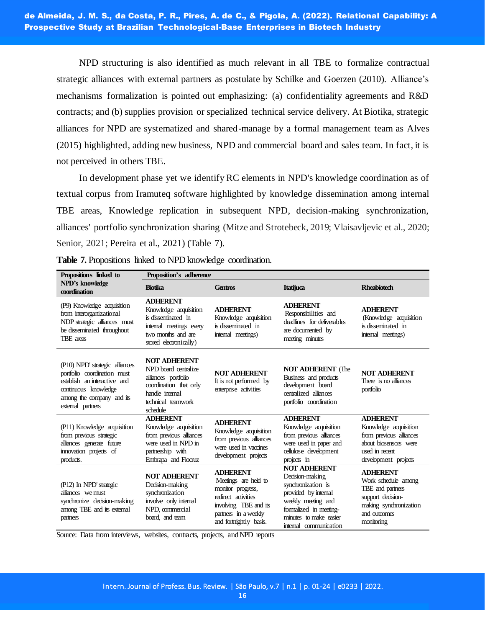NPD structuring is also identified as much relevant in all TBE to formalize contractual strategic alliances with external partners as postulate by Schilke and Goerzen (2010). Alliance's mechanisms formalization is pointed out emphasizing: (a) confidentiality agreements and R&D contracts; and (b) supplies provision or specialized technical service delivery. At Biotika, strategic alliances for NPD are systematized and shared-manage by a formal management team as Alves (2015) highlighted, adding new business, NPD and commercial board and sales team. In fact, it is not perceived in others TBE.

In development phase yet we identify RC elements in NPD's knowledge coordination as of textual corpus from Iramuteq software highlighted by knowledge dissemination among internal TBE areas, Knowledge replication in subsequent NPD, decision-making synchronization, alliances' portfolio synchronization sharing (Mitze and Strotebeck, 2019; Vlaisavljevic et al., 2020; Senior, 2021; Pereira et al., 2021) (Table 7).

| Propositions linked to                                                                                                                                                  | Proposition's adherence                                                                                                                           |                                                                                                                                                               |                                                                                                                                                                                          |                                                                                                                                         |
|-------------------------------------------------------------------------------------------------------------------------------------------------------------------------|---------------------------------------------------------------------------------------------------------------------------------------------------|---------------------------------------------------------------------------------------------------------------------------------------------------------------|------------------------------------------------------------------------------------------------------------------------------------------------------------------------------------------|-----------------------------------------------------------------------------------------------------------------------------------------|
| NPD's knowledge<br>coordination                                                                                                                                         | <b>Biotika</b>                                                                                                                                    | Gentros                                                                                                                                                       |                                                                                                                                                                                          | <b>Rheabiotech</b>                                                                                                                      |
| (P9) Knowledge acquisition<br>from interorganizational<br>NDP strategic alliances must<br>be disseminated throughout<br>TBE areas                                       | <b>ADHERENT</b><br>Knowledge acquisition<br>is disseminated in<br>internal meetings every<br>two months and are<br>stored electronically)         | <b>ADHERENT</b><br>Knowledge acquisition<br>is disseminated in<br>internal meetings)                                                                          | <b>ADHERENT</b><br>Responsibilities and<br>deadlines for deliverables<br>are documented by<br>meeting minutes                                                                            | <b>ADHERENT</b><br>(Knowledge acquisition<br>is disseminated in<br>internal meetings)                                                   |
| (P10) NPD' strategic alliances<br>portfolio coordination must<br>establish an interactive and<br>continuous knowledge<br>among the company and its<br>external partners | <b>NOT ADHERENT</b><br>NPD board centralize<br>alliances portfolio<br>coordination that only<br>handle internal<br>technical teamwork<br>schedule | <b>NOT ADHERENT</b><br>It is not performed by<br>enterprise activities                                                                                        | <b>NOT ADHERENT</b> (The<br>Business and products<br>development board<br>centralized alliances<br>portfolio coordination                                                                | <b>NOT ADHERENT</b><br>There is no alliances<br>portfolio                                                                               |
| (P11) Knowledge acquisition<br>from previous strategic<br>alliances generate future<br>innovation projects of<br>products.                                              | <b>ADHERENT</b><br>Knowledge acquisition<br>from previous alliances<br>were used in NPD in<br>partnership with<br>Embrapa and Fiocruz             | <b>ADHERENT</b><br>Knowledge acquisition<br>from previous alliances<br>were used in vaccines<br>development projects                                          | <b>ADHERENT</b><br>Knowledge acquisition<br>from previous alliances<br>were used in paper and<br>cellulose development<br>projects in                                                    | <b>ADHERENT</b><br>Knowledge acquisition<br>from previous alliances<br>about biosensors were<br>used in recent<br>development projects  |
| (P12) In NPD' strategic<br>alliances we must<br>synchronize decision-making<br>among TBE and its external<br>partners                                                   | <b>NOT ADHERENT</b><br>Decision-making<br>synchronization<br>involve only internal<br>NPD, commercial<br>board, and team                          | <b>ADHERENT</b><br>Meetings are held to<br>monitor progress,<br>redirect activities<br>involving TBE and its<br>partners in a weekly<br>and formightly basis. | <b>NOT ADHERENT</b><br>Decision-making<br>synchronization is<br>provided by internal<br>weekly meeting and<br>formalized in meeting-<br>minutes to make easier<br>internal communication | <b>ADHERENT</b><br>Work schedule among<br>TBE and partners<br>support decision-<br>making synchronization<br>and outcomes<br>monitoring |

**Table 7.** Propositions linked to NPD knowledge coordination.

Source: Data from interviews, websites, contracts, projects, and NPD reports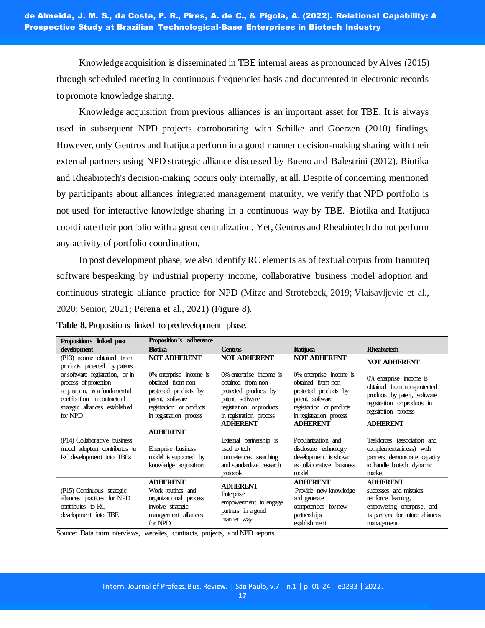Knowledge acquisition is disseminated in TBE internal areas as pronounced by Alves (2015) through scheduled meeting in continuous frequencies basis and documented in electronic records to promote knowledge sharing.

Knowledge acquisition from previous alliances is an important asset for TBE. It is always used in subsequent NPD projects corroborating with Schilke and Goerzen (2010) findings. However, only Gentros and Itatijuca perform in a good manner decision-making sharing with their external partners using NPD strategic alliance discussed by Bueno and Balestrini (2012). Biotika and Rheabiotech's decision-making occurs only internally, at all. Despite of concerning mentioned by participants about alliances integrated management maturity, we verify that NPD portfolio is not used for interactive knowledge sharing in a continuous way by TBE. Biotika and Itatijuca coordinate their portfolio with a great centralization. Yet, Gentros and Rheabiotech do not perform any activity of portfolio coordination.

In post development phase, we also identify RC elements as of textual corpus from Iramuteq software bespeaking by industrial property income, collaborative business model adoption and continuous strategic alliance practice for NPD (Mitze and Strotebeck, 2019; Vlaisavljevic et al., 2020; Senior, 2021; Pereira et al., 2021) (Figure 8).

| Propositions linked post                                                 | Proposition's adherence                   |                                   |                           |                                   |
|--------------------------------------------------------------------------|-------------------------------------------|-----------------------------------|---------------------------|-----------------------------------|
| development                                                              | <b>Biotika</b>                            | Itatijuca<br><b>Gentros</b>       |                           | <b>Rheabiotech</b>                |
| (P13) income obtained from                                               | <b>NOT ADHERENT</b>                       | <b>NOT ADHERENT</b>               | <b>NOT ADHERENT</b>       | <b>NOT ADHERENT</b>               |
| products protected by patents                                            |                                           |                                   |                           |                                   |
| or software registration, or in                                          | $0\%$ enterprise income is                | $0\%$ enterprise income is        | 0% enterprise income is   | $0\%$ enterprise income is        |
| process of protection                                                    | obtained from non-                        | obtained from non-                | obtained from non-        | obtained from non-protected       |
| acquisition, is a fundamental                                            | protected products by                     | protected products by             | protected products by     | products by patent, software      |
| contribution in contractual                                              | patent, software                          | patent, software                  | patent, software          | registration or products in       |
| strategic alliances established                                          | registration or products                  | registration or products          | registration or products  | registration process              |
| for NPD                                                                  | in registration process                   | in registration process           | in registration process   |                                   |
|                                                                          |                                           | <b>ADHERENT</b>                   | <b>ADHERENT</b>           | <b>ADHERENT</b>                   |
|                                                                          | <b>ADHERENT</b>                           |                                   |                           |                                   |
| (P14) Collaborative business                                             |                                           | External partnership is           | Popularization and        | Taskforces (association and       |
| model adoption contributes to                                            | Enterprise business                       | used to tech                      | disclosure technology     | complementariness) with           |
| RC development into TBEs                                                 | model is supported by                     | competences searching             | development is shown      | partners demonstrate capacity     |
|                                                                          | knowledge acquisition                     | and standardize research          | as collaborative business | to handle biotech dynamic         |
|                                                                          |                                           | protocols                         | model                     | market                            |
|                                                                          | <b>ADHERENT</b>                           | <b>ADHERENT</b>                   | <b>ADHERENT</b>           | <b>ADHERENT</b>                   |
| (P15) Continuous strategic                                               | Work routines and                         | Enterprise                        | Provide new knowledge     | successes and mistakes            |
| alliances practices for NPD<br>contributes to RC<br>development into TBE | organizational process                    | empowerment to engage             | and generate              | reinforce learning,               |
|                                                                          | involve strategic<br>management alliances | partners in a good<br>manner way. | competences for new       | empowering enterprise, and        |
|                                                                          |                                           |                                   | partnerships              | its partners for future alliances |
|                                                                          | for NPD                                   |                                   | establishment             | management                        |

**Table 8.** Propositions linked to predevelopment phase.

Source: Data from interviews, websites, contracts, projects, and NPD reports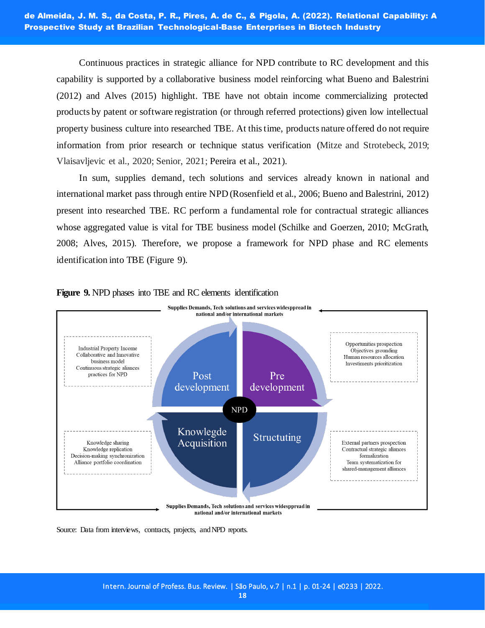Continuous practices in strategic alliance for NPD contribute to RC development and this capability is supported by a collaborative business model reinforcing what Bueno and Balestrini (2012) and Alves (2015) highlight. TBE have not obtain income commercializing protected products by patent or software registration (or through referred protections) given low intellectual property business culture into researched TBE. At this time, products nature offered do not require information from prior research or technique status verification (Mitze and Strotebeck, 2019; Vlaisavljevic et al., 2020; Senior, 2021; Pereira et al., 2021).

In sum, supplies demand, tech solutions and services already known in national and international market pass through entire NPD (Rosenfield et al., 2006; Bueno and Balestrini, 2012) present into researched TBE. RC perform a fundamental role for contractual strategic alliances whose aggregated value is vital for TBE business model (Schilke and Goerzen, 2010; McGrath, 2008; Alves, 2015). Therefore, we propose a framework for NPD phase and RC elements identification into TBE (Figure 9).



# **Figure 9.** NPD phases into TBE and RC elements identification

Source: Data from interviews, contracts, projects, and NPD reports.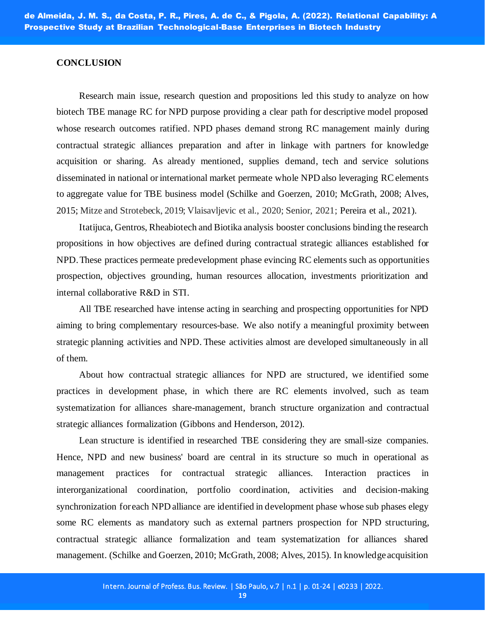## **CONCLUSION**

Research main issue, research question and propositions led this study to analyze on how biotech TBE manage RC for NPD purpose providing a clear path for descriptive model proposed whose research outcomes ratified. NPD phases demand strong RC management mainly during contractual strategic alliances preparation and after in linkage with partners for knowledge acquisition or sharing. As already mentioned, supplies demand, tech and service solutions disseminated in national or international market permeate whole NPD also leveraging RC elements to aggregate value for TBE business model (Schilke and Goerzen, 2010; McGrath, 2008; Alves, 2015; Mitze and Strotebeck, 2019; Vlaisavljevic et al., 2020; Senior, 2021; Pereira et al., 2021).

Itatijuca, Gentros, Rheabiotech and Biotika analysis booster conclusions binding the research propositions in how objectives are defined during contractual strategic alliances established for NPD. These practices permeate predevelopment phase evincing RC elements such as opportunities prospection, objectives grounding, human resources allocation, investments prioritization and internal collaborative R&D in STI.

All TBE researched have intense acting in searching and prospecting opportunities for NPD aiming to bring complementary resources-base. We also notify a meaningful proximity between strategic planning activities and NPD. These activities almost are developed simultaneously in all of them.

About how contractual strategic alliances for NPD are structured, we identified some practices in development phase, in which there are RC elements involved, such as team systematization for alliances share-management, branch structure organization and contractual strategic alliances formalization (Gibbons and Henderson, 2012).

Lean structure is identified in researched TBE considering they are small-size companies. Hence, NPD and new business' board are central in its structure so much in operational as management practices for contractual strategic alliances. Interaction practices in interorganizational coordination, portfolio coordination, activities and decision-making synchronization for each NPD alliance are identified in development phase whose sub phases elegy some RC elements as mandatory such as external partners prospection for NPD structuring, contractual strategic alliance formalization and team systematization for alliances shared management. (Schilke and Goerzen, 2010; McGrath, 2008; Alves, 2015). In knowledge acquisition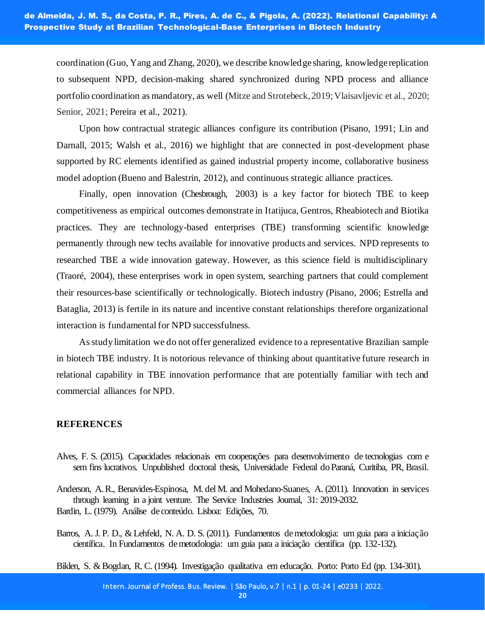coordination (Guo, Yang and Zhang, 2020), we describe knowledge sharing, knowledge replication to subsequent NPD, decision-making shared synchronized during NPD process and alliance portfolio coordination as mandatory, as well (Mitze and Strotebeck, 2019; Vlaisavljevic et al., 2020; Senior, 2021; Pereira et al., 2021).

Upon how contractual strategic alliances configure its contribution (Pisano, 1991; Lin and Darnall, 2015; Walsh et al., 2016) we highlight that are connected in post-development phase supported by RC elements identified as gained industrial property income, collaborative business model adoption (Bueno and Balestrin, 2012), and continuous strategic alliance practices.

Finally, open innovation (Chesbrough, 2003) is a key factor for biotech TBE to keep competitiveness as empirical outcomes demonstrate in Itatijuca, Gentros, Rheabiotech and Biotika practices. They are technology-based enterprises (TBE) transforming scientific knowledge permanently through new techs available for innovative products and services. NPD represents to researched TBE a wide innovation gateway. However, as this science field is multidisciplinary (Traoré, 2004), these enterprises work in open system, searching partners that could complement their resources-base scientifically or technologically. Biotech industry (Pisano, 2006; Estrella and Bataglia, 2013) is fertile in its nature and incentive constant relationships therefore organizational interaction is fundamental for NPD successfulness.

As study limitation we do not offer generalized evidence to a representative Brazilian sample in biotech TBE industry. It is notorious relevance of thinking about quantitative future research in relational capability in TBE innovation performance that are potentially familiar with tech and commercial alliances for NPD.

## **REFERENCES**

Alves, F. S. (2015). Capacidades relacionais em cooperações para desenvolvimento de tecnologias com e sem fins lucrativos. Unpublished doctoral thesis, Universidade Federal do Paraná, Curitiba, PR, Brasil.

Anderson, A. R., Benavides-Espinosa, M. del M. and Mohedano-Suanes, A. (2011). Innovation in services through learning in a joint venture. The Service Industries Journal, 31: 2019-2032. Bardin, L. (1979). Análise de conteúdo. Lisboa: Edições, 70.

Barros, A. J. P. D., & Lehfeld, N. A. D. S. (2011). Fundamentos de metodologia: um guia para a iniciação científica. In Fundamentos de metodologia: um guia para a iniciação científica (pp. 132-132).

Biklen, S. & Bogdan, R. C. (1994). Investigação qualitativa em educação. Porto: Porto Ed (pp. 134-301).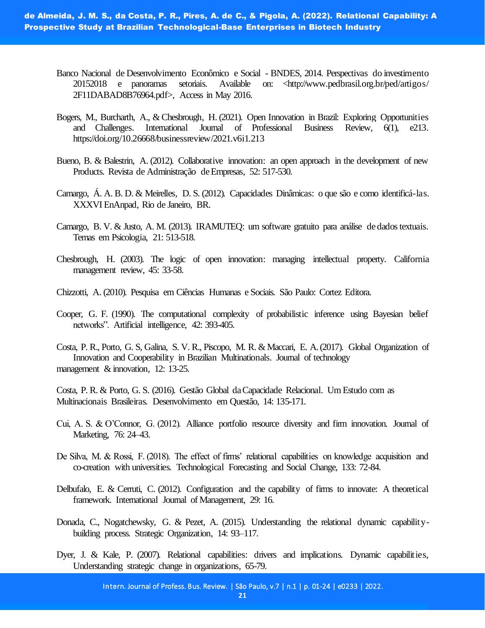de Almeida, J. M. S., da Costa, P. R., Pires, A. de C., & Pigola, A. (2022). Relational Capability: A Prospective Study at Brazilian Technological-Base Enterprises in Biotech Industry

- Banco Nacional de Desenvolvimento Econômico e Social BNDES, 2014. Perspectivas do investimento 20152018 e panoramas setoriais. Available on: <http://www.pedbrasil.org.br/ped/artigos/ 2F11DABAD8B76964.pdf>, Access in May 2016.
- Bogers, M., Burcharth, A., & Chesbrough, H. (2021). Open Innovation in Brazil: Exploring Opportunities and Challenges. International Journal of Professional Business Review, 6(1), e213. https://doi.org/10.26668/businessreview/2021.v6i1.213
- Bueno, B. & Balestrin, A. (2012). Collaborative innovation: an open approach in the development of new Products. Revista de Administração de Empresas, 52: 517-530.
- Camargo, Á. A. B. D. & Meirelles, D. S. (2012). Capacidades Dinâmicas: o que são e como identificá-las. XXXVI EnAnpad, Rio de Janeiro, BR.
- Camargo, B. V. & Justo, A. M. (2013). IRAMUTEQ: um software gratuito para análise de dados textuais. Temas em Psicologia, 21: 513-518.
- Chesbrough, H. (2003). The logic of open innovation: managing intellectual property. California management review, 45: 33-58.
- Chizzotti, A. (2010). Pesquisa em Ciências Humanas e Sociais. São Paulo: Cortez Editora.
- Cooper, G. F. (1990). The computational complexity of probabilistic inference using Bayesian belief networks". Artificial intelligence, 42: 393-405.
- Costa, P. R., Porto, G. S, Galina, S. V. R., Piscopo, M. R. & Maccari, E. A. (2017). Global Organization of Innovation and Cooperability in Brazilian Multinationals. Journal of technology management & innovation, 12: 13-25.

Costa, P. R. & Porto, G. S. (2016). Gestão Global da Capacidade Relacional. Um Estudo com as Multinacionais Brasileiras. Desenvolvimento em Questão, 14: 135-171.

- Cui, A. S. & O'Connor, G. (2012). Alliance portfolio resource diversity and firm innovation. Journal of Marketing, 76: 24–43.
- De Silva, M. & Rossi, F. (2018). The effect of firms' relational capabilities on knowledge acquisition and co-creation with universities. Technological Forecasting and Social Change, 133: 72-84.
- Delbufalo, E. & Cerruti, C. (2012). Configuration and the capability of firms to innovate: A theoretical framework. International Journal of Management, 29: 16.
- Donada, C., Nogatchewsky, G. & Pezet, A. (2015). Understanding the relational dynamic capabilitybuilding process. Strategic Organization, 14: 93–117.
- Dyer, J. & Kale, P. (2007). Relational capabilities: drivers and implications. Dynamic capabilities, Understanding strategic change in organizations, 65-79.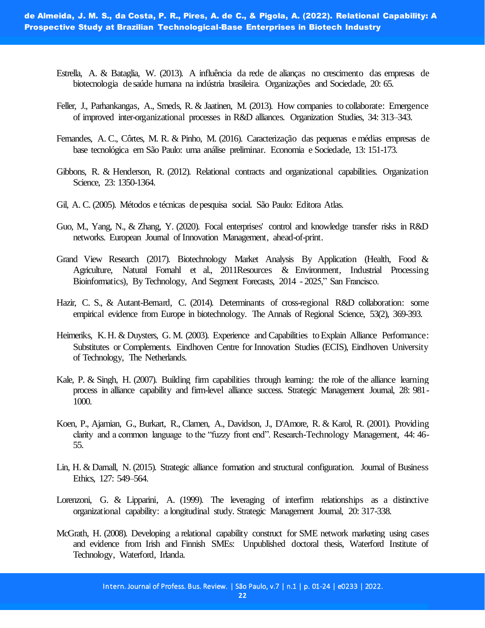- Estrella, A. & Bataglia, W. (2013). A influência da rede de alianças no crescimento das empresas de biotecnologia de saúde humana na indústria brasileira. Organizações and Sociedade, 20: 65.
- Feller, J., Parhankangas, A., Smeds, R. & Jaatinen, M. (2013). How companies to collaborate: Emergence of improved inter-organizational processes in R&D alliances. Organization Studies, 34: 313–343.
- Fernandes, A. C., Côrtes, M. R. & Pinho, M. (2016). Caracterização das pequenas e médias empresas de base tecnológica em São Paulo: uma análise preliminar. Economia e Sociedade, 13: 151-173.
- Gibbons, R. & Henderson, R. (2012). Relational contracts and organizational capabilities. Organization Science, 23: 1350-1364.
- Gil, A. C. (2005). Métodos e técnicas de pesquisa social. São Paulo: Editora Atlas.
- Guo, M., Yang, N., & Zhang, Y. (2020). Focal enterprises' control and knowledge transfer risks in R&D networks. European Journal of Innovation Management, ahead-of-print.
- Grand View Research (2017). Biotechnology Market Analysis By Application (Health, Food & Agriculture, Natural Fornahl et al., 2011Resources & Environment, Industrial Processing Bioinformatics), By Technology, And Segment Forecasts, 2014 - 2025," San Francisco.
- Hazir, C. S., & Autant-Bernard, C. (2014). Determinants of cross-regional R&D collaboration: some empirical evidence from Europe in biotechnology. The Annals of Regional Science, 53(2), 369-393.
- Heimeriks, K. H. & Duysters, G. M. (2003). Experience and Capabilities to Explain Alliance Performance: Substitutes or Complements. Eindhoven Centre for Innovation Studies (ECIS), Eindhoven University of Technology, The Netherlands.
- Kale, P. & Singh, H. (2007). Building firm capabilities through learning: the role of the alliance learning process in alliance capability and firm-level alliance success. Strategic Management Journal, 28: 981- 1000.
- Koen, P., Ajamian, G., Burkart, R., Clamen, A., Davidson, J., D'Amore, R. & Karol, R. (2001). Providing clarity and a common language to the "fuzzy front end". Research-Technology Management, 44: 46- 55.
- Lin, H. & Darnall, N. (2015). Strategic alliance formation and structural configuration. Journal of Business Ethics, 127: 549–564.
- Lorenzoni, G. & Lipparini, A. (1999). The leveraging of interfirm relationships as a distinctive organizational capability: a longitudinal study. Strategic Management Journal, 20: 317-338.
- McGrath, H. (2008). Developing a relational capability construct for SME network marketing using cases and evidence from Irish and Finnish SMEs: Unpublished doctoral thesis, Waterford Institute of Technology, Waterford, Irlanda.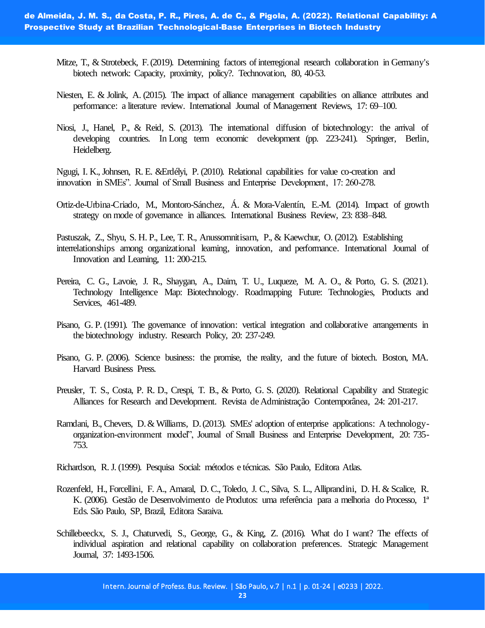- Mitze, T., & Strotebeck, F. (2019). Determining factors of interregional research collaboration in Germany's biotech network: Capacity, proximity, policy?. Technovation, 80, 40-53.
- Niesten, E. & Jolink, A. (2015). The impact of alliance management capabilities on alliance attributes and performance: a literature review. International Journal of Management Reviews, 17: 69–100.
- Niosi, J., Hanel, P., & Reid, S. (2013). The international diffusion of biotechnology: the arrival of developing countries. In Long term economic development (pp. 223-241). Springer, Berlin, Heidelberg.

Ngugi, I. K., Johnsen, R. E. &Erdélyi, P. (2010). Relational capabilities for value co-creation and innovation in SMEs". Journal of Small Business and Enterprise Development, 17: 260-278.

Ortiz-de-Urbina-Criado, M., Montoro-Sánchez, Á. & Mora-Valentín, E.-M. (2014). Impact of growth strategy on mode of governance in alliances. International Business Review, 23: 838–848.

Pastuszak, Z., Shyu, S. H. P., Lee, T. R., Anussornnitisarn, P., & Kaewchur, O. (2012). Establishing

- interrelationships among organizational learning, innovation, and performance. International Journal of Innovation and Learning, 11: 200-215.
- Pereira, C. G., Lavoie, J. R., Shaygan, A., Daim, T. U., Luqueze, M. A. O., & Porto, G. S. (2021). Technology Intelligence Map: Biotechnology. Roadmapping Future: Technologies, Products and Services, 461-489.
- Pisano, G. P. (1991). The governance of innovation: vertical integration and collaborative arrangements in the biotechnology industry. Research Policy, 20: 237-249.
- Pisano, G. P. (2006). Science business: the promise, the reality, and the future of biotech. Boston, MA. Harvard Business Press.
- Preusler, T. S., Costa, P. R. D., Crespi, T. B., & Porto, G. S. (2020). Relational Capability and Strategic Alliances for Research and Development. Revista de Administração Contemporânea, 24: 201-217.
- Ramdani, B., Chevers, D. & Williams, D. (2013). SMEs' adoption of enterprise applications: A technologyorganization-environment model", Journal of Small Business and Enterprise Development, 20: 735- 753.
- Richardson, R. J. (1999). Pesquisa Social: métodos e técnicas. São Paulo, Editora Atlas.
- Rozenfeld, H., Forcellini, F. A., Amaral, D. C., Toledo, J. C., Silva, S. L., Alliprandini, D. H. & Scalice, R. K. (2006). Gestão de Desenvolvimento de Produtos: uma referência para a melhoria do Processo, 1ª Eds. São Paulo, SP, Brazil, Editora Saraiva.
- Schillebeeckx, S. J., Chaturvedi, S., George, G., & King, Z. (2016). What do I want? The effects of individual aspiration and relational capability on collaboration preferences. Strategic Management Journal, 37: 1493-1506.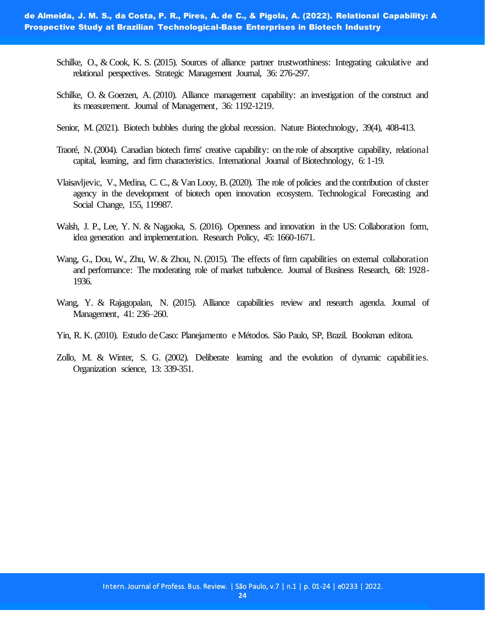- Schilke, O., & Cook, K. S. (2015). Sources of alliance partner trustworthiness: Integrating calculative and relational perspectives. Strategic Management Journal, 36: 276-297.
- Schilke, O. & Goerzen, A. (2010). Alliance management capability: an investigation of the construct and its measurement. Journal of Management, 36: 1192-1219.
- Senior, M. (2021). Biotech bubbles during the global recession. Nature Biotechnology, 39(4), 408-413.
- Traoré, N. (2004). Canadian biotech firms' creative capability: on the role of absorptive capability, relational capital, learning, and firm characteristics. International Journal of Biotechnology, 6: 1-19.
- Vlaisavljevic, V., Medina, C. C., & Van Looy, B. (2020). The role of policies and the contribution of cluster agency in the development of biotech open innovation ecosystem. Technological Forecasting and Social Change, 155, 119987.
- Walsh, J. P., Lee, Y. N. & Nagaoka, S. (2016). Openness and innovation in the US: Collaboration form, idea generation and implementation. Research Policy, 45: 1660-1671.
- Wang, G., Dou, W., Zhu, W. & Zhou, N. (2015). The effects of firm capabilities on external collaboration and performance: The moderating role of market turbulence. Journal of Business Research, 68: 1928- 1936.
- Wang, Y. & Rajagopalan, N. (2015). Alliance capabilities review and research agenda. Journal of Management, 41: 236–260.
- Yin, R. K. (2010). Estudo de Caso: Planejamento e Métodos. São Paulo, SP, Brazil. Bookman editora.
- Zollo, M. & Winter, S. G. (2002). Deliberate learning and the evolution of dynamic capabilities. Organization science, 13: 339-351.